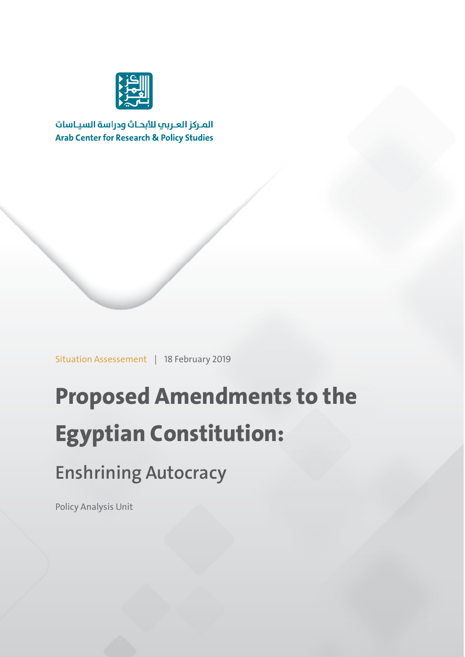

المركز العربب للأبحاث ودراسة السياسات **Arab Center for Research & Policy Studies** 

Situation Assessement | 18 February 2019

# **Proposed Amendments to the Egyptian Constitution:**

### **Enshrining Autocracy**

Policy Analysis Unit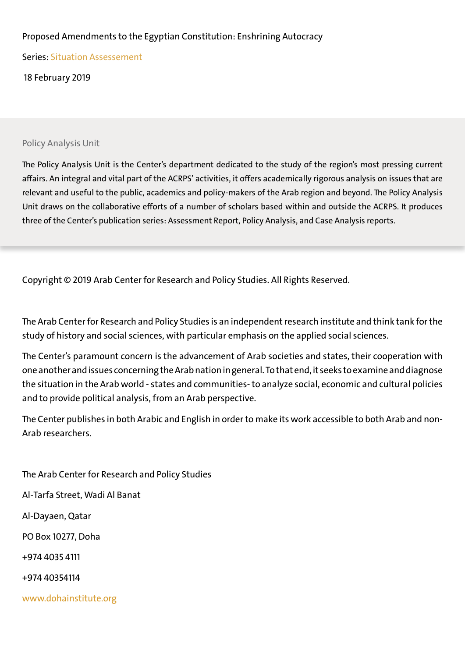### Proposed Amendments to the Egyptian Constitution: Enshrining Autocracy

Series: Situation Assessement

18 February 2019

#### Policy Analysis Unit

The Policy Analysis Unit is the Center's department dedicated to the study of the region's most pressing current affairs. An integral and vital part of the ACRPS' activities, it offers academically rigorous analysis on issues that are relevant and useful to the public, academics and policy-makers of the Arab region and beyond. The Policy Analysis Unit draws on the collaborative efforts of a number of scholars based within and outside the ACRPS. It produces three of the Center's publication series: Assessment Report, Policy Analysis, and Case Analysis reports.

Copyright © 2019 Arab Center for Research and Policy Studies. All Rights Reserved.

The Arab Center for Research and Policy Studies is an independent research institute and think tank for the study of history and social sciences, with particular emphasis on the applied social sciences.

The Center's paramount concern is the advancement of Arab societies and states, their cooperation with one another and issues concerning the Arab nation in general. To that end, it seeks to examine and diagnose the situation in the Arab world - states and communities- to analyze social, economic and cultural policies and to provide political analysis, from an Arab perspective.

The Center publishes in both Arabic and English in order to make its work accessible to both Arab and non-Arab researchers.

The Arab Center for Research and Policy Studies Al-Tarfa Street, Wadi Al Banat Al-Dayaen, Qatar PO Box 10277, Doha +974 4035 4111 +974 40354114 www.dohainstitute.org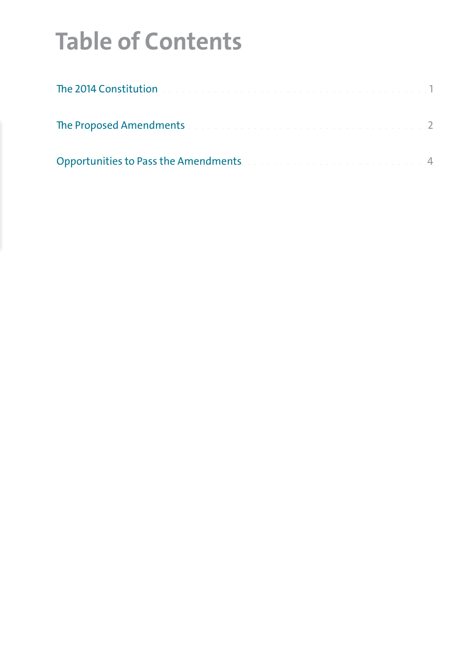## **Table of Contents**

| The 2014 Constitution <b>Constitution Constitution Constitution Constitution Constitution Constitution</b> |  |
|------------------------------------------------------------------------------------------------------------|--|
| The Proposed Amendments and a construction of the construction of the 2                                    |  |
| Opportunities to Pass the Amendments. The contract of the contract of the contract of                      |  |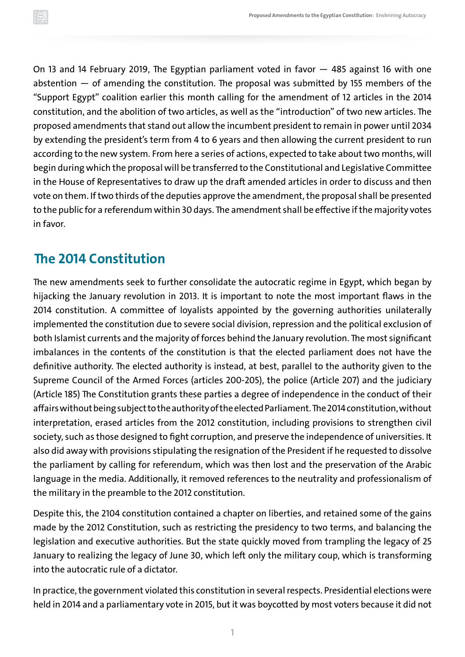<span id="page-3-0"></span>On 13 and 14 February 2019, The Egyptian parliament voted in favor — 485 against 16 with one abstention  $-$  of amending the constitution. The proposal was submitted by 155 members of the "Support Egypt" coalition earlier this month calling for the amendment of 12 articles in the 2014 constitution, and the abolition of two articles, as well as the "introduction" of two new articles. The proposed amendments that stand out allow the incumbent president to remain in power until 2034 by extending the president's term from 4 to 6 years and then allowing the current president to run according to the new system. From here a series of actions, expected to take about two months, will begin during which the proposal will be transferred to the Constitutional and Legislative Committee in the House of Representatives to draw up the draft amended articles in order to discuss and then vote on them. If two thirds of the deputies approve the amendment, the proposal shall be presented to the public for a referendum within 30 days. The amendment shall be effective if the majority votes in favor.

### **The 2014 Constitution**

The new amendments seek to further consolidate the autocratic regime in Egypt, which began by hijacking the January revolution in 2013. It is important to note the most important flaws in the 2014 constitution. A committee of loyalists appointed by the governing authorities unilaterally implemented the constitution due to severe social division, repression and the political exclusion of both Islamist currents and the majority of forces behind the January revolution. The most significant imbalances in the contents of the constitution is that the elected parliament does not have the definitive authority. The elected authority is instead, at best, parallel to the authority given to the Supreme Council of the Armed Forces (articles 200-205), the police (Article 207) and the judiciary (Article 185) The Constitution grants these parties a degree of independence in the conduct of their affairs without being subject to the authority of the elected Parliament. The 2014 constitution, without interpretation, erased articles from the 2012 constitution, including provisions to strengthen civil society, such as those designed to fight corruption, and preserve the independence of universities. It also did away with provisions stipulating the resignation of the President if he requested to dissolve the parliament by calling for referendum, which was then lost and the preservation of the Arabic language in the media. Additionally, it removed references to the neutrality and professionalism of the military in the preamble to the 2012 constitution.

Despite this, the 2104 constitution contained a chapter on liberties, and retained some of the gains made by the 2012 Constitution, such as restricting the presidency to two terms, and balancing the legislation and executive authorities. But the state quickly moved from trampling the legacy of 25 January to realizing the legacy of June 30, which left only the military coup, which is transforming into the autocratic rule of a dictator.

In practice, the government violated this constitution in several respects. Presidential elections were held in 2014 and a parliamentary vote in 2015, but it was boycotted by most voters because it did not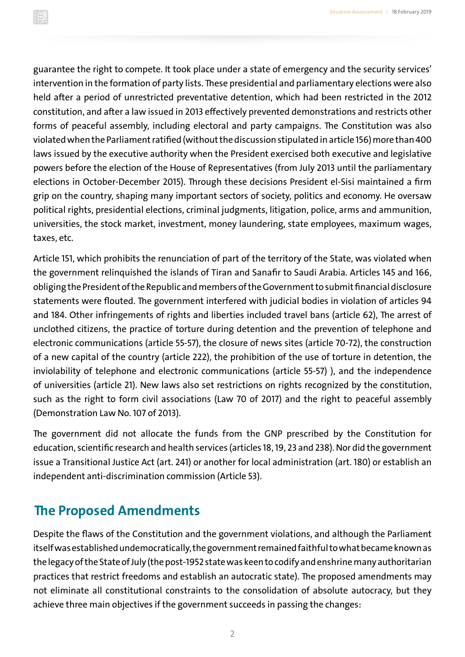<span id="page-4-0"></span>guarantee the right to compete. It took place under a state of emergency and the security services' intervention in the formation of party lists. These presidential and parliamentary elections were also held after a period of unrestricted preventative detention, which had been restricted in the 2012 constitution, and after a law issued in 2013 effectively prevented demonstrations and restricts other forms of peaceful assembly, including electoral and party campaigns. The Constitution was also violated when the Parliament ratified (without the discussion stipulated in article 156) more than 400 laws issued by the executive authority when the President exercised both executive and legislative powers before the election of the House of Representatives (from July 2013 until the parliamentary elections in October-December 2015). Through these decisions President el-Sisi maintained a firm grip on the country, shaping many important sectors of society, politics and economy. He oversaw political rights, presidential elections, criminal judgments, litigation, police, arms and ammunition, universities, the stock market, investment, money laundering, state employees, maximum wages, taxes, etc.

Article 151, which prohibits the renunciation of part of the territory of the State, was violated when the government relinquished the islands of Tiran and Sanafir to Saudi Arabia. Articles 145 and 166, obliging the President of the Republic and members of the Government to submit financial disclosure statements were flouted. The government interfered with judicial bodies in violation of articles 94 and 184. Other infringements of rights and liberties included travel bans (article 62), The arrest of unclothed citizens, the practice of torture during detention and the prevention of telephone and electronic communications (article 55-57), the closure of news sites (article 70-72), the construction of a new capital of the country (article 222), the prohibition of the use of torture in detention, the inviolability of telephone and electronic communications (article 55-57) ), and the independence of universities (article 21). New laws also set restrictions on rights recognized by the constitution, such as the right to form civil associations (Law 70 of 2017) and the right to peaceful assembly (Demonstration Law No. 107 of 2013).

The government did not allocate the funds from the GNP prescribed by the Constitution for education, scientific research and health services (articles 18, 19, 23 and 238). Nor did the government issue a Transitional Justice Act (art. 241) or another for local administration (art. 180) or establish an independent anti-discrimination commission (Article 53).

### **The Proposed Amendments**

Despite the flaws of the Constitution and the government violations, and although the Parliament itself was established undemocratically, the government remained faithful to what became known as the legacy of the State of July (the post-1952 state was keen to codify and enshrine many authoritarian practices that restrict freedoms and establish an autocratic state). The proposed amendments may not eliminate all constitutional constraints to the consolidation of absolute autocracy, but they achieve three main objectives if the government succeeds in passing the changes: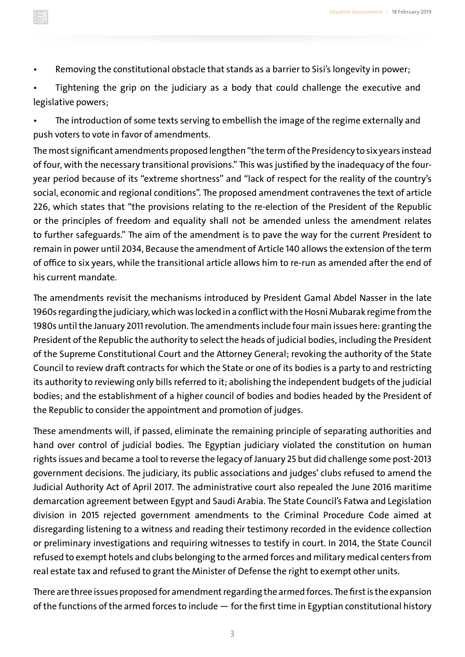• Removing the constitutional obstacle that stands as a barrier to Sisi's longevity in power;

• Tightening the grip on the judiciary as a body that could challenge the executive and legislative powers;

• The introduction of some texts serving to embellish the image of the regime externally and push voters to vote in favor of amendments.

The most significant amendments proposed lengthen "the term of the Presidency to six years instead of four, with the necessary transitional provisions." This was justified by the inadequacy of the fouryear period because of its "extreme shortness" and "lack of respect for the reality of the country's social, economic and regional conditions". The proposed amendment contravenes the text of article 226, which states that "the provisions relating to the re-election of the President of the Republic or the principles of freedom and equality shall not be amended unless the amendment relates to further safeguards." The aim of the amendment is to pave the way for the current President to remain in power until 2034, Because the amendment of Article 140 allows the extension of the term of office to six years, while the transitional article allows him to re-run as amended after the end of his current mandate.

The amendments revisit the mechanisms introduced by President Gamal Abdel Nasser in the late 1960s regarding the judiciary, which was locked in a conflict with the Hosni Mubarak regime from the 1980s until the January 2011 revolution. The amendments include four main issues here: granting the President of the Republic the authority to select the heads of judicial bodies, including the President of the Supreme Constitutional Court and the Attorney General; revoking the authority of the State Council to review draft contracts for which the State or one of its bodies is a party to and restricting its authority to reviewing only bills referred to it; abolishing the independent budgets of the judicial bodies; and the establishment of a higher council of bodies and bodies headed by the President of the Republic to consider the appointment and promotion of judges.

These amendments will, if passed, eliminate the remaining principle of separating authorities and hand over control of judicial bodies. The Egyptian judiciary violated the constitution on human rights issues and became a tool to reverse the legacy of January 25 but did challenge some post-2013 government decisions. The judiciary, its public associations and judges' clubs refused to amend the Judicial Authority Act of April 2017. The administrative court also repealed the June 2016 maritime demarcation agreement between Egypt and Saudi Arabia. The State Council's Fatwa and Legislation division in 2015 rejected government amendments to the Criminal Procedure Code aimed at disregarding listening to a witness and reading their testimony recorded in the evidence collection or preliminary investigations and requiring witnesses to testify in court. In 2014, the State Council refused to exempt hotels and clubs belonging to the armed forces and military medical centers from real estate tax and refused to grant the Minister of Defense the right to exempt other units.

There are three issues proposed for amendment regarding the armed forces. The first is the expansion of the functions of the armed forces to include — for the first time in Egyptian constitutional history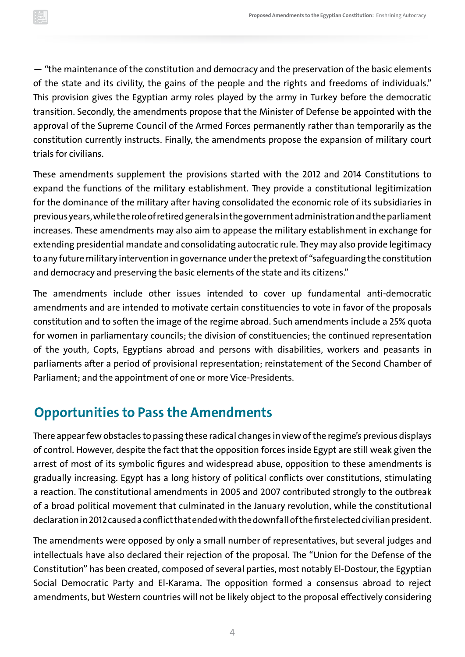<span id="page-6-0"></span>— "the maintenance of the constitution and democracy and the preservation of the basic elements of the state and its civility, the gains of the people and the rights and freedoms of individuals." This provision gives the Egyptian army roles played by the army in Turkey before the democratic transition. Secondly, the amendments propose that the Minister of Defense be appointed with the approval of the Supreme Council of the Armed Forces permanently rather than temporarily as the constitution currently instructs. Finally, the amendments propose the expansion of military court trials for civilians.

These amendments supplement the provisions started with the 2012 and 2014 Constitutions to expand the functions of the military establishment. They provide a constitutional legitimization for the dominance of the military after having consolidated the economic role of its subsidiaries in previous years, while the role of retired generals in the government administration and the parliament increases. These amendments may also aim to appease the military establishment in exchange for extending presidential mandate and consolidating autocratic rule. They may also provide legitimacy to any future military intervention in governance under the pretext of "safeguarding the constitution and democracy and preserving the basic elements of the state and its citizens."

The amendments include other issues intended to cover up fundamental anti-democratic amendments and are intended to motivate certain constituencies to vote in favor of the proposals constitution and to soften the image of the regime abroad. Such amendments include a 25% quota for women in parliamentary councils; the division of constituencies; the continued representation of the youth, Copts, Egyptians abroad and persons with disabilities, workers and peasants in parliaments after a period of provisional representation; reinstatement of the Second Chamber of Parliament; and the appointment of one or more Vice-Presidents.

### **Opportunities to Pass the Amendments**

There appear few obstacles to passing these radical changes in view of the regime's previous displays of control. However, despite the fact that the opposition forces inside Egypt are still weak given the arrest of most of its symbolic figures and widespread abuse, opposition to these amendments is gradually increasing. Egypt has a long history of political conflicts over constitutions, stimulating a reaction. The constitutional amendments in 2005 and 2007 contributed strongly to the outbreak of a broad political movement that culminated in the January revolution, while the constitutional declaration in 2012 caused a conflict that ended with the downfall of the first elected civilian president.

The amendments were opposed by only a small number of representatives, but several judges and intellectuals have also declared their rejection of the proposal. The "Union for the Defense of the Constitution" has been created, composed of several parties, most notably El-Dostour, the Egyptian Social Democratic Party and El-Karama. The opposition formed a consensus abroad to reject amendments, but Western countries will not be likely object to the proposal effectively considering